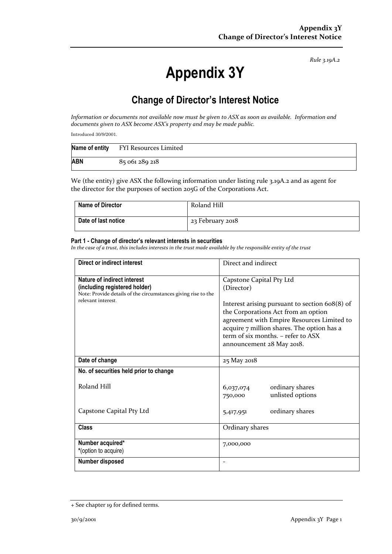*Rule 3.19A.2*

# **Appendix 3Y**

# **Change of Director's Interest Notice**

*Information or documents not available now must be given to ASX as soon as available. Information and documents given to ASX become ASX's property and may be made public.*

Introduced 30/9/2001.

|            | Name of entity FYI Resources Limited |
|------------|--------------------------------------|
| <b>ABN</b> | 85 061 289 218                       |

We (the entity) give ASX the following information under listing rule 3.19A.2 and as agent for the director for the purposes of section 205G of the Corporations Act.

| <b>Name of Director</b> | Roland Hill      |
|-------------------------|------------------|
| Date of last notice     | 23 February 2018 |

#### **Part 1 - Change of director's relevant interests in securities**

*In the case of a trust, this includes interests in the trust made available by the responsible entity of the trust*

| Direct or indirect interest                                                                                                                                | Direct and indirect                                                                                                                                                                                                                                                                            |  |
|------------------------------------------------------------------------------------------------------------------------------------------------------------|------------------------------------------------------------------------------------------------------------------------------------------------------------------------------------------------------------------------------------------------------------------------------------------------|--|
| <b>Nature of indirect interest</b><br>(including registered holder)<br>Note: Provide details of the circumstances giving rise to the<br>relevant interest. | Capstone Capital Pty Ltd<br>(Director)<br>Interest arising pursuant to section 608(8) of<br>the Corporations Act from an option<br>agreement with Empire Resources Limited to<br>acquire 7 million shares. The option has a<br>term of six months. - refer to ASX<br>announcement 28 May 2018. |  |
| Date of change                                                                                                                                             | 25 May 2018                                                                                                                                                                                                                                                                                    |  |
| No. of securities held prior to change                                                                                                                     |                                                                                                                                                                                                                                                                                                |  |
| Roland Hill                                                                                                                                                | ordinary shares<br>6,037,074<br>unlisted options<br>750,000                                                                                                                                                                                                                                    |  |
| Capstone Capital Pty Ltd                                                                                                                                   | ordinary shares<br>5,417,951                                                                                                                                                                                                                                                                   |  |
| <b>Class</b>                                                                                                                                               | Ordinary shares                                                                                                                                                                                                                                                                                |  |
| Number acquired*<br>*(option to acquire)                                                                                                                   | 7,000,000                                                                                                                                                                                                                                                                                      |  |
| Number disposed                                                                                                                                            |                                                                                                                                                                                                                                                                                                |  |

<sup>+</sup> See chapter 19 for defined terms.